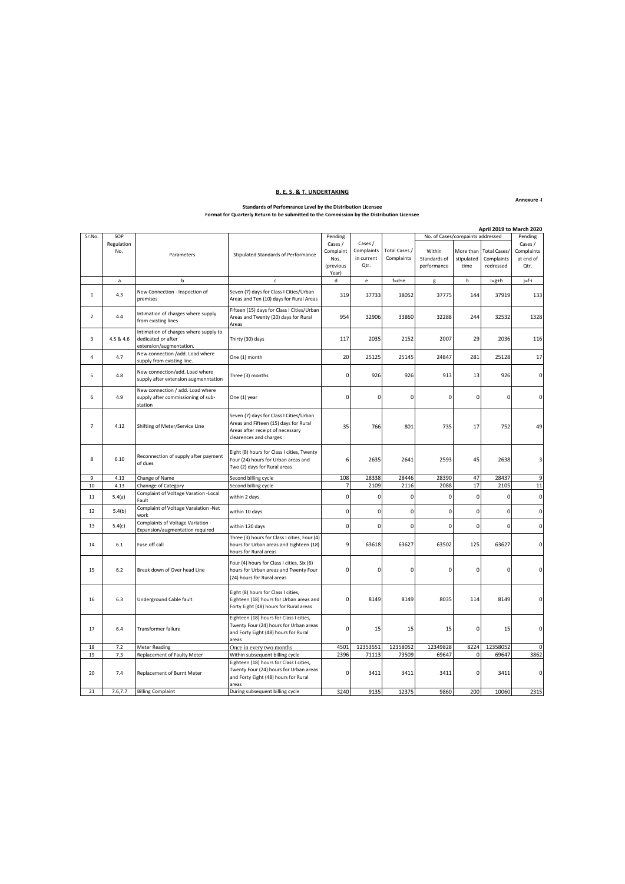#### **B. E. S. & T. UNDERTAKING**

#### **Annexure -I**

### **Standards of Perfomrance Level by the Distribution Licensee Format for Quarterly Return to be submitted to the Commission by the Distribution Licensee**

|                | April 2019 to March 2020 |                                                                                        |                                                                                                                                                |                     |            |               |              |             |                     |            |
|----------------|--------------------------|----------------------------------------------------------------------------------------|------------------------------------------------------------------------------------------------------------------------------------------------|---------------------|------------|---------------|--------------|-------------|---------------------|------------|
| Sr.No.         | SOP                      |                                                                                        | Pending<br>No. of Cases/compaints addressed                                                                                                    |                     |            | Pending       |              |             |                     |            |
|                | Regulation               |                                                                                        |                                                                                                                                                | Cases /             | Cases /    |               |              |             |                     | Cases /    |
|                | No.                      | Parameters                                                                             | Stipulated Standards of Performance                                                                                                            | Complaint           | Complaints | Total Cases / | Within       | More than   | <b>Total Cases/</b> | Complaints |
|                |                          |                                                                                        |                                                                                                                                                | Nos.                | in current | Complaints    | Standards of | stipulated  | Complaints          | at end of  |
|                |                          |                                                                                        |                                                                                                                                                | (previous           | Qtr.       |               | performance  | time        | redressed           | Qtr.       |
|                |                          |                                                                                        |                                                                                                                                                | Year)               |            |               |              |             |                     |            |
|                | $\mathsf{a}$             | b                                                                                      | $\mathsf{c}$                                                                                                                                   | d                   | e          | $f = d + e$   | g            | h           | $I=g+h$             | j=f-i      |
|                |                          |                                                                                        |                                                                                                                                                |                     |            |               |              |             |                     |            |
| $\mathbf{1}$   | 4.3                      | New Connection - Inspection of<br>premises                                             | Seven (7) days for Class I Cities/Urban<br>Areas and Ten (10) days for Rural Areas                                                             | 319                 | 37733      | 38052         | 37775        | 144         | 37919               | 133        |
| 2              | 4.4                      | Intimation of charges where supply<br>from existing lines                              | Fifteen (15) days for Class I Cities/Urban<br>Areas and Twenty (20) days for Rural<br>Areas                                                    | 954                 | 32906      | 33860         | 32288        | 244         | 32532               | 1328       |
| 3              | 4.5 & 4.6                | Intimation of charges where supply to<br>dedicated or after<br>extension/augmentation. | Thirty (30) days                                                                                                                               | 117                 | 2035       | 2152          | 2007         | 29          | 2036                | 116        |
| $\overline{4}$ | 4.7                      | New connection /add. Load where<br>supply from existing line.                          | One (1) month                                                                                                                                  | 20                  | 25125      | 25145         | 24847        | 281         | 25128               | 17         |
| 5              | 4.8                      | New connection/add. Load where<br>supply after extension augmenntation                 | Three (3) months                                                                                                                               | 0                   | 926        | 926           | 913          | 13          | 926                 | 0          |
| 6              | 4.9                      | New connection / add. Load where<br>supply after commissioning of sub-<br>station      | One (1) year                                                                                                                                   | $\mathbf 0$         | 0          | $\Omega$      | $\mathbf 0$  | 0           | $\mathbf 0$         | 0          |
| $\overline{7}$ | 4.12                     | Shifting of Meter/Service Line                                                         | Seven (7) days for Class I Cities/Urban<br>Areas and Fifteen (15) days for Rural<br>Areas after receipt of necessary<br>clearences and charges | 35                  | 766        | 801           | 735          | 17          | 752                 | 49         |
| 8              | 6.10                     | Reconnection of supply after payment<br>of dues                                        | Eight (8) hours for Class I cities, Twenty<br>Four (24) hours for Urban areas and<br>Two (2) days for Rural areas                              | 6                   | 2635       | 2641          | 2593         | 45          | 2638                | 3          |
| 9              | 4.13                     | Change of Name                                                                         | Second billing cycle                                                                                                                           | 108                 | 28338      | 28446         | 28390        | 47          | 28437               | 9          |
| 10             | 4.13                     | Channge of Category                                                                    | Second billing cycle                                                                                                                           | 7                   | 2109       | 2116          | 2088         | 17          | 2105                | 11         |
| 11             | 5.4(a)                   | Complaint of Voltage Varation - Local<br>Fault                                         | within 2 days                                                                                                                                  | $\pmb{0}$           | 0          | $\mathbf 0$   | 0            | $\mathbf 0$ | 0                   | 0          |
| 12             | 5.4(b)                   | Complaint of Voltage Varaiation -Net<br>work                                           | within 10 days                                                                                                                                 | 0                   | 0          | 0             | 0            | $\mathbf 0$ | $\mathbf 0$         | 0          |
| 13             | 5.4(c)                   | Complaints of Voltage Variation -<br>Expansion/augmentation required                   | within 120 days                                                                                                                                | $\mathsf{O}\xspace$ | 0          | 0             | 0            | $\pmb{0}$   | $\mathsf{O}\xspace$ | 0          |
| 14             | 6.1                      | Fuse off call                                                                          | Three (3) hours for Class I cities, Four (4)<br>hours for Urban areas and Eighteen (18)<br>hours for Rural areas                               | $\overline{9}$      | 63618      | 63627         | 63502        | 125         | 63627               | 0          |
| 15             | 6.2                      | Break down of Over head Line                                                           | Four (4) hours for Class I cities, Six (6)<br>hours for Urban areas and Twenty Four<br>(24) hours for Rural areas                              | 0                   | 0          | 0             | 0            | 0           |                     | $\Omega$   |
| 16             | 6.3                      | Underground Cable fault                                                                | Eight (8) hours for Class I cities,<br>Eighteen (18) hours for Urban areas and<br>Forty Eight (48) hours for Rural areas                       | $\Omega$            | 8149       | 8149          | 8035         | 114         | 8149                | $\Omega$   |
| 17             | 6.4                      | Transformer failure                                                                    | Eighteen (18) hours for Class I cities,<br>Twenty Four (24) hours for Urban areas<br>and Forty Eight (48) hours for Rural<br>areas             |                     | 15         | 15            | 15           | 0           | 15                  | 0          |
| 18             | 7.2                      | <b>Meter Reading</b>                                                                   | Once in every two months                                                                                                                       | 4501                | 12353551   | 12358052      | 12349828     | 8224        | 12358052            | $\Omega$   |
| 19             | 7.3                      | Replacement of Faulty Meter                                                            | Within subsequent billing cycle                                                                                                                | 2396                | 71113      | 73509         | 69647        | $\mathbf 0$ | 69647               | 3862       |
| 20             | 7.4                      | Replacement of Burnt Meter                                                             | Eighteen (18) hours for Class I cities,<br>Twenty Four (24) hours for Urban areas<br>and Forty Eight (48) hours for Rural<br>areas             | 0                   | 3411       | 3411          | 3411         | 0           | 3411                | $\Omega$   |
| 21             | 7.6,7.7                  | <b>Billing Complaint</b>                                                               | During subsequent billing cycle                                                                                                                | 3240                | 9135       | 12375         | 9860         | 200         | 10060               | 2315       |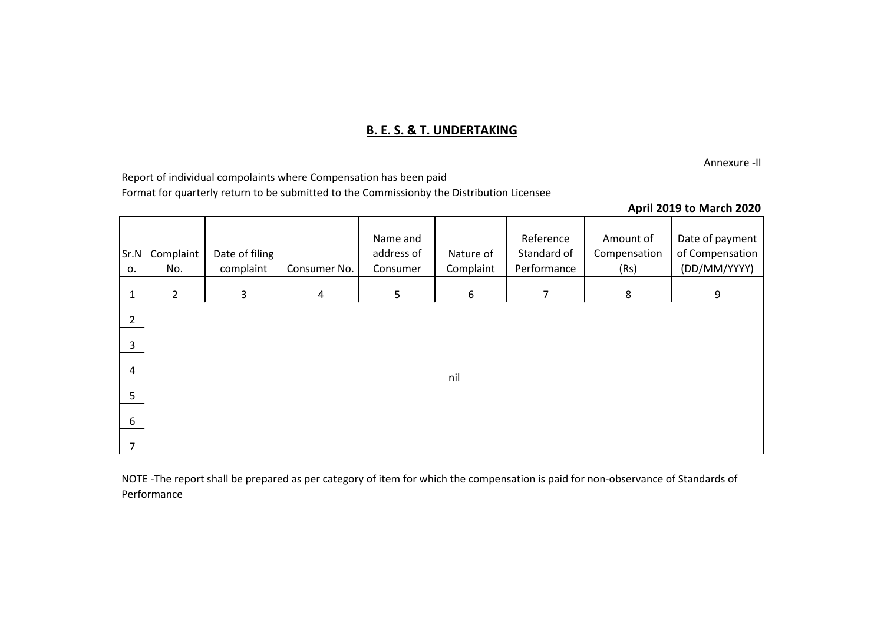## **B. E. S. & T. UNDERTAKING**

Annexure -II

Report of individual compolaints where Compensation has been paid Format for quarterly return to be submitted to the Commissionby the Distribution Licensee

### **April 2019 to March 2020**

| Sr.N<br>0.     | Complaint<br>No. | Date of filing<br>complaint | Consumer No.   | Name and<br>address of<br>Consumer | Nature of<br>Complaint | Reference<br>Standard of<br>Performance | Amount of<br>Compensation<br>(Rs) | Date of payment<br>of Compensation<br>(DD/MM/YYYY) |
|----------------|------------------|-----------------------------|----------------|------------------------------------|------------------------|-----------------------------------------|-----------------------------------|----------------------------------------------------|
| $\mathbf{1}$   | $\overline{2}$   | $\mathbf{3}$                | $\overline{4}$ | $5\phantom{.}$                     | 6                      | $\overline{7}$                          | 8                                 | 9                                                  |
| $\overline{2}$ |                  |                             |                |                                    |                        |                                         |                                   |                                                    |
| 3              |                  |                             |                |                                    |                        |                                         |                                   |                                                    |
| 4              |                  |                             |                |                                    | nil                    |                                         |                                   |                                                    |
| 5              |                  |                             |                |                                    |                        |                                         |                                   |                                                    |
| 6              |                  |                             |                |                                    |                        |                                         |                                   |                                                    |
| 7              |                  |                             |                |                                    |                        |                                         |                                   |                                                    |

NOTE -The report shall be prepared as per category of item for which the compensation is paid for non-observance of Standards of Performance